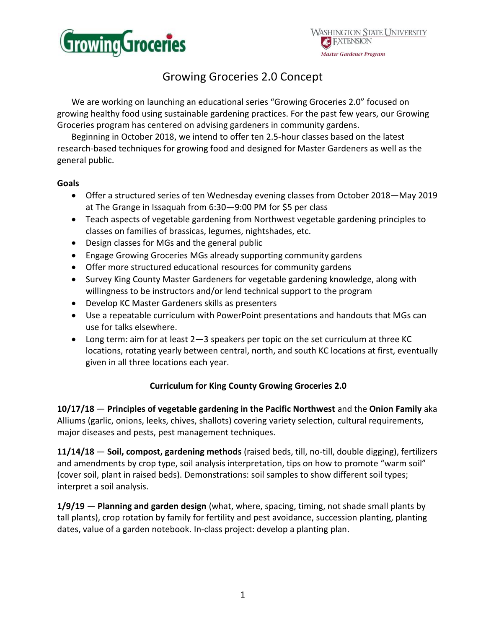

## Growing Groceries 2.0 Concept

We are working on launching an educational series "Growing Groceries 2.0" focused on growing healthy food using sustainable gardening practices. For the past few years, our Growing Groceries program has centered on advising gardeners in community gardens.

Beginning in October 2018, we intend to offer ten 2.5-hour classes based on the latest research-based techniques for growing food and designed for Master Gardeners as well as the general public.

## **Goals**

- Offer a structured series of ten Wednesday evening classes from October 2018—May 2019 at The Grange in Issaquah from 6:30—9:00 PM for \$5 per class
- Teach aspects of vegetable gardening from Northwest vegetable gardening principles to classes on families of brassicas, legumes, nightshades, etc.
- Design classes for MGs and the general public
- Engage Growing Groceries MGs already supporting community gardens
- Offer more structured educational resources for community gardens
- Survey King County Master Gardeners for vegetable gardening knowledge, along with willingness to be instructors and/or lend technical support to the program
- Develop KC Master Gardeners skills as presenters
- Use a repeatable curriculum with PowerPoint presentations and handouts that MGs can use for talks elsewhere.
- Long term: aim for at least 2—3 speakers per topic on the set curriculum at three KC locations, rotating yearly between central, north, and south KC locations at first, eventually given in all three locations each year.

## **Curriculum for King County Growing Groceries 2.0**

**10/17/18** — **Principles of vegetable gardening in the Pacific Northwest** and the **Onion Family** aka Alliums (garlic, onions, leeks, chives, shallots) covering variety selection, cultural requirements, major diseases and pests, pest management techniques.

**11/14/18** — **Soil, compost, gardening methods** (raised beds, till, no-till, double digging), fertilizers and amendments by crop type, soil analysis interpretation, tips on how to promote "warm soil" (cover soil, plant in raised beds). Demonstrations: soil samples to show different soil types; interpret a soil analysis.

**1/9/19** — **Planning and garden design** (what, where, spacing, timing, not shade small plants by tall plants), crop rotation by family for fertility and pest avoidance, succession planting, planting dates, value of a garden notebook. In-class project: develop a planting plan.